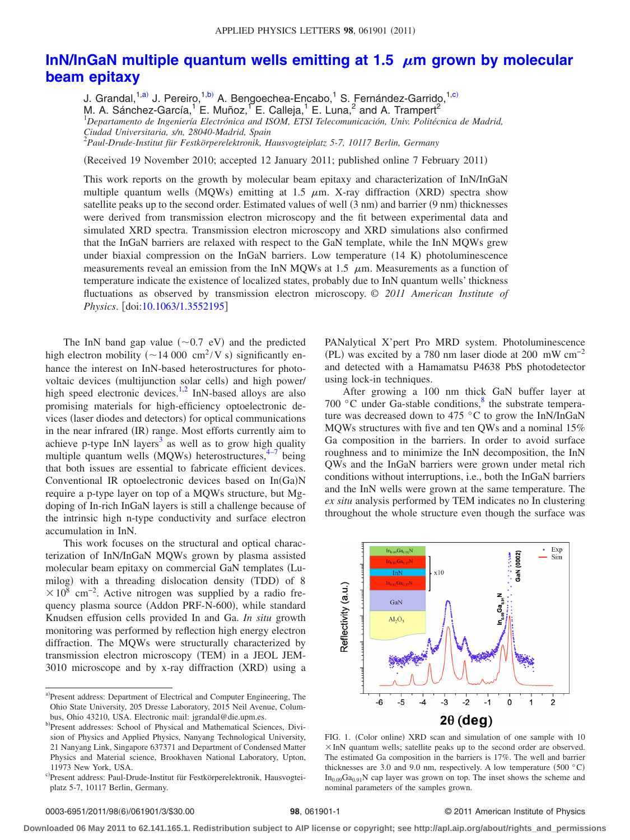## [InN/InGaN multiple quantum wells emitting at 1.5](http://dx.doi.org/10.1063/1.3552195)  $\,\rm \mu$ m grown by molecular **[beam epitaxy](http://dx.doi.org/10.1063/1.3552195)**

J. Grandal,<sup>1[,a](#page-0-0))</sup> J. Pereiro,<sup>1[,b](#page-0-1))</sup> A. Bengoechea-Encabo,<sup>1</sup> S. Fernández-Garrido,<sup>1[,c](#page-0-2))</sup><br>M. A. Sánchez-García,<sup>1</sup> E. Muñoz,<sup>1</sup> E. Calleja,<sup>1</sup> E. Luna,<sup>2</sup> and A. Trampert<sup>2</sup><br><sup>1</sup>Departamento de Ingeniería Electrónica and ISO *Ciudad Universitaria, s/n, 28040-Madrid, Spain* 2 *Paul-Drude-Institut für Festkörperelektronik, Hausvogteiplatz 5-7, 10117 Berlin, Germany*

(Received 19 November 2010; accepted 12 January 2011; published online 7 February 2011)

This work reports on the growth by molecular beam epitaxy and characterization of InN/InGaN multiple quantum wells (MQWs) emitting at 1.5  $\mu$ m. X-ray diffraction (XRD) spectra show satellite peaks up to the second order. Estimated values of well (3 nm) and barrier (9 nm) thicknesses were derived from transmission electron microscopy and the fit between experimental data and simulated XRD spectra. Transmission electron microscopy and XRD simulations also confirmed that the InGaN barriers are relaxed with respect to the GaN template, while the InN MQWs grew under biaxial compression on the InGaN barriers. Low temperature (14 K) photoluminescence measurements reveal an emission from the InN MQWs at 1.5  $\mu$ m. Measurements as a function of temperature indicate the existence of localized states, probably due to InN quantum wells' thickness fluctuations as observed by transmission electron microscopy. © *2011 American Institute of Physics.* [doi[:10.1063/1.3552195](http://dx.doi.org/10.1063/1.3552195)]

The InN band gap value  $(\sim 0.7 \text{ eV})$  and the predicted high electron mobility ( $\sim$  14 000 cm<sup>2</sup>/V s) significantly enhance the interest on InN-based heterostructures for photovoltaic devices (multijunction solar cells) and high power/ high speed electronic devices.<sup>1,[2](#page-2-1)</sup> InN-based alloys are also promising materials for high-efficiency optoelectronic devices (laser diodes and detectors) for optical communications in the near infrared (IR) range. Most efforts currently aim to achieve p-type InN layers<sup>3</sup> as well as to grow high quality multiple quantum wells (MQWs) heterostructures,<sup>4-[7](#page-2-4)</sup> being that both issues are essential to fabricate efficient devices. Conventional IR optoelectronic devices based on In(Ga)N require a p-type layer on top of a MQWs structure, but Mgdoping of In-rich InGaN layers is still a challenge because of the intrinsic high n-type conductivity and surface electron accumulation in InN.

This work focuses on the structural and optical characterization of InN/InGaN MQWs grown by plasma assisted molecular beam epitaxy on commercial GaN templates (Lumilog) with a threading dislocation density (TDD) of 8  $\times$ 10<sup>8</sup> cm<sup>-2</sup>. Active nitrogen was supplied by a radio frequency plasma source (Addon PRF-N-600), while standard Knudsen effusion cells provided In and Ga. *In situ* growth monitoring was performed by reflection high energy electron diffraction. The MQWs were structurally characterized by transmission electron microscopy (TEM) in a JEOL JEM-3010 microscope and by x-ray diffraction (XRD) using a

PANalytical X'pert Pro MRD system. Photoluminescence (PL) was excited by a 780 nm laser diode at 200 mW  $cm^{-2}$ and detected with a Hamamatsu P4638 PbS photodetector using lock-in techniques.

After growing a 100 nm thick GaN buffer layer at 700 °C under Ga-stable conditions,<sup>8</sup> the substrate temperature was decreased down to 475 °C to grow the InN/InGaN MQWs structures with five and ten QWs and a nominal 15% Ga composition in the barriers. In order to avoid surface roughness and to minimize the InN decomposition, the InN QWs and the InGaN barriers were grown under metal rich conditions without interruptions, i.e., both the InGaN barriers and the InN wells were grown at the same temperature. The *ex situ* analysis performed by TEM indicates no In clustering throughout the whole structure even though the surface was

<span id="page-0-3"></span>

FIG. 1. (Color online) XRD scan and simulation of one sample with 10  $\times$  InN quantum wells; satellite peaks up to the second order are observed. The estimated Ga composition in the barriers is 17%. The well and barrier thicknesses are 3.0 and 9.0 nm, respectively. A low temperature  $(500 °C)$  $In_{0.09}Ga_{0.91}N$  cap layer was grown on top. The inset shows the scheme and nominal parameters of the samples grown.

## 98, 061901-1 **30.000 CENTER SERVICE OF PHYSICS** © 2011 American Institute of Physics

**Downloaded 06 May 2011 to 62.141.165.1. Redistribution subject to AIP license or copyright; see http://apl.aip.org/about/rights\_and\_permissions**

<span id="page-0-1"></span><span id="page-0-0"></span>a)Present address: Department of Electrical and Computer Engineering, The Ohio State University, 205 Dresse Laboratory, 2015 Neil Avenue, Columbus, Ohio 43210, USA. Electronic mail: jgrandal@die.upm.es.

<span id="page-0-2"></span>b)Present addresses: School of Physical and Mathematical Sciences, Division of Physics and Applied Physics, Nanyang Technological University, 21 Nanyang Link, Singapore 637371 and Department of Condensed Matter Physics and Material science, Brookhaven National Laboratory, Upton, 11973 New York, USA.

c Present address: Paul-Drude-Institut für Festkörperelektronik, Hausvogteiplatz 5-7, 10117 Berlin, Germany.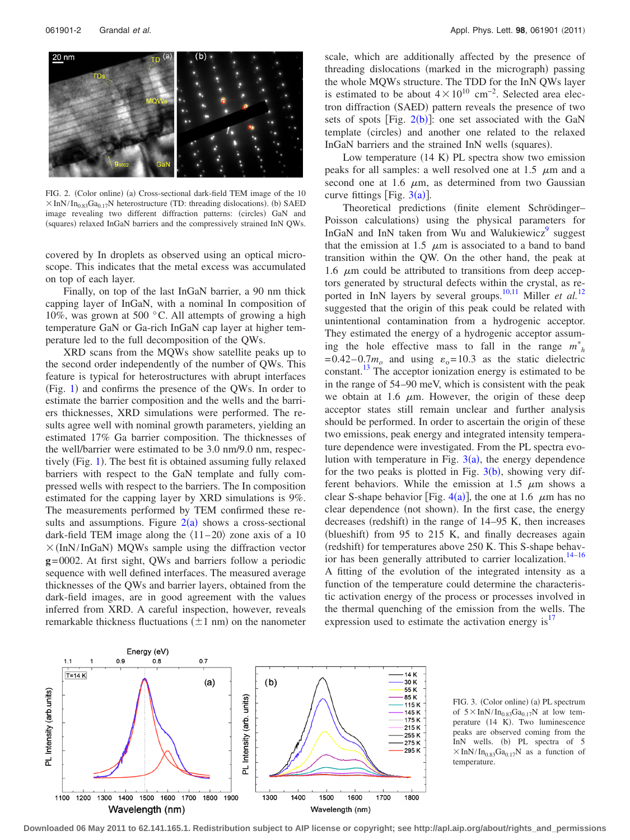<span id="page-1-0"></span>

FIG. 2. (Color online) (a) Cross-sectional dark-field TEM image of the 10  $\times$ InN/In<sub>0.83</sub>Ga<sub>0.17</sub>N heterostructure (TD: threading dislocations). (b) SAED image revealing two different diffraction patterns: (circles) GaN and (squares) relaxed InGaN barriers and the compressively strained InN QWs.

covered by In droplets as observed using an optical microscope. This indicates that the metal excess was accumulated on top of each layer.

Finally, on top of the last InGaN barrier, a 90 nm thick capping layer of InGaN, with a nominal In composition of 10%, was grown at 500 °C. All attempts of growing a high temperature GaN or Ga-rich InGaN cap layer at higher temperature led to the full decomposition of the QWs.

XRD scans from the MQWs show satellite peaks up to the second order independently of the number of QWs. This feature is typical for heterostructures with abrupt interfaces (Fig. [1](#page-0-3)) and confirms the presence of the QWs. In order to estimate the barrier composition and the wells and the barriers thicknesses, XRD simulations were performed. The results agree well with nominal growth parameters, yielding an estimated 17% Ga barrier composition. The thicknesses of the well/barrier were estimated to be 3.0 nm/9.0 nm, respec-tively (Fig. [1](#page-0-3)). The best fit is obtained assuming fully relaxed barriers with respect to the GaN template and fully compressed wells with respect to the barriers. The In composition estimated for the capping layer by XRD simulations is 9%. The measurements performed by TEM confirmed these results and assumptions. Figure  $2(a)$  $2(a)$  shows a cross-sectional dark-field TEM image along the  $\langle 11–20 \rangle$  zone axis of a 10  $\times$ (InN/InGaN) MQWs sample using the diffraction vector **g**= 0002. At first sight, QWs and barriers follow a periodic sequence with well defined interfaces. The measured average thicknesses of the QWs and barrier layers, obtained from the dark-field images, are in good agreement with the values inferred from XRD. A careful inspection, however, reveals remarkable thickness fluctuations  $(\pm 1 \text{ nm})$  on the nanometer

scale, which are additionally affected by the presence of threading dislocations (marked in the micrograph) passing the whole MQWs structure. The TDD for the InN QWs layer is estimated to be about  $4 \times 10^{10}$  cm<sup>-2</sup>. Selected area electron diffraction (SAED) pattern reveals the presence of two sets of spots [Fig.  $2(b)$  $2(b)$ ]: one set associated with the GaN template (circles) and another one related to the relaxed InGaN barriers and the strained InN wells (squares).

Low temperature  $(14 K)$  PL spectra show two emission peaks for all samples: a well resolved one at  $1.5 \mu m$  and a second one at 1.6  $\mu$ m, as determined from two Gaussian curve fittings [Fig.  $3(a)$  $3(a)$ ].

Theoretical predictions (finite element Schrödinger-Poisson calculations) using the physical parameters for InGaN and InN taken from Wu and Walukiewicz $\sigma$  suggest that the emission at 1.5  $\mu$ m is associated to a band to band transition within the QW. On the other hand, the peak at 1.6  $\mu$ m could be attributed to transitions from deep acceptors generated by structural defects within the crystal, as re-ported in InN layers by several groups.<sup>10,[11](#page-2-8)</sup> Miller *et al.*<sup>[12](#page-2-9)</sup> suggested that the origin of this peak could be related with unintentional contamination from a hydrogenic acceptor. They estimated the energy of a hydrogenic acceptor assuming the hole effective mass to fall in the range  $m_h^*$  $= 0.42 - 0.7 m<sub>o</sub>$  and using  $\varepsilon_0 = 10.3$  as the static dielectric constant[.13](#page-2-10) The acceptor ionization energy is estimated to be in the range of 54–90 meV, which is consistent with the peak we obtain at 1.6  $\mu$ m. However, the origin of these deep acceptor states still remain unclear and further analysis should be performed. In order to ascertain the origin of these two emissions, peak energy and integrated intensity temperature dependence were investigated. From the PL spectra evolution with temperature in Fig.  $3(a)$  $3(a)$ , the energy dependence for the two peaks is plotted in Fig.  $3(b)$  $3(b)$ , showing very different behaviors. While the emission at 1.5  $\mu$ m shows a clear S-shape behavior [Fig. [4](#page-2-11)(a)], the one at 1.6  $\mu$ m has no clear dependence (not shown). In the first case, the energy decreases (redshift) in the range of 14–95 K, then increases (blueshift) from 95 to 215 K, and finally decreases again (redshift) for temperatures above 250 K. This S-shape behavior has been generally attributed to carrier localization.<sup>14-16</sup> A fitting of the evolution of the integrated intensity as a function of the temperature could determine the characteristic activation energy of the process or processes involved in the thermal quenching of the emission from the wells. The expression used to estimate the activation energy is $17$ 

<span id="page-1-1"></span>



**Downloaded 06 May 2011 to 62.141.165.1. Redistribution subject to AIP license or copyright; see http://apl.aip.org/about/rights\_and\_permissions**